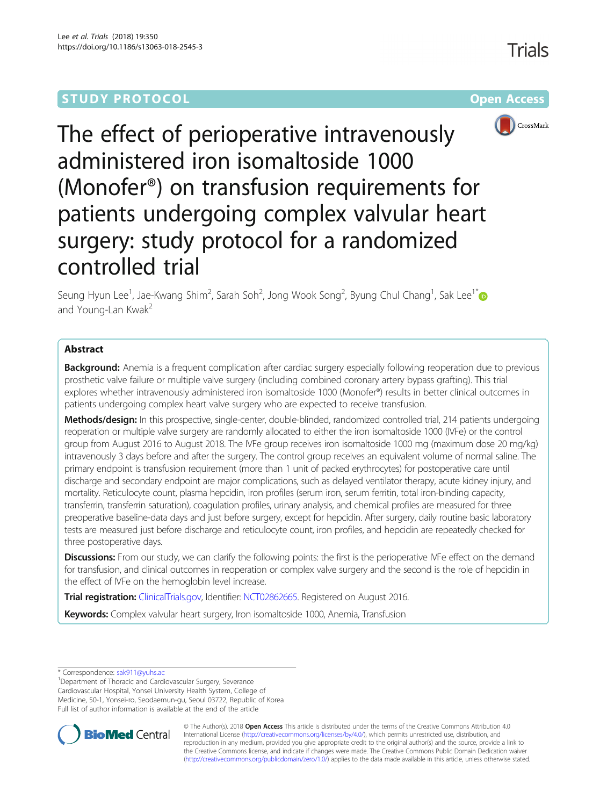## **STUDY PROTOCOL CONSUMING THE CONSUMING OPEN ACCESS**



The effect of perioperative intravenously administered iron isomaltoside 1000 (Monofer®) on transfusion requirements for patients undergoing complex valvular heart surgery: study protocol for a randomized controlled trial

Seung Hyun Lee $^1$ , Jae-Kwang Shim $^2$ , Sarah Soh $^2$ , Jong Wook Song $^2$ , Byung Chul Chang $^1$ , Sak Lee $^{1^\ast}$ and Young-Lan Kwak<sup>2</sup>

## Abstract

**Background:** Anemia is a frequent complication after cardiac surgery especially following reoperation due to previous prosthetic valve failure or multiple valve surgery (including combined coronary artery bypass grafting). This trial explores whether intravenously administered iron isomaltoside 1000 (Monofer®) results in better clinical outcomes in patients undergoing complex heart valve surgery who are expected to receive transfusion.

Methods/design: In this prospective, single-center, double-blinded, randomized controlled trial, 214 patients undergoing reoperation or multiple valve surgery are randomly allocated to either the iron isomaltoside 1000 (IVFe) or the control group from August 2016 to August 2018. The IVFe group receives iron isomaltoside 1000 mg (maximum dose 20 mg/kg) intravenously 3 days before and after the surgery. The control group receives an equivalent volume of normal saline. The primary endpoint is transfusion requirement (more than 1 unit of packed erythrocytes) for postoperative care until discharge and secondary endpoint are major complications, such as delayed ventilator therapy, acute kidney injury, and mortality. Reticulocyte count, plasma hepcidin, iron profiles (serum iron, serum ferritin, total iron-binding capacity, transferrin, transferrin saturation), coagulation profiles, urinary analysis, and chemical profiles are measured for three preoperative baseline-data days and just before surgery, except for hepcidin. After surgery, daily routine basic laboratory tests are measured just before discharge and reticulocyte count, iron profiles, and hepcidin are repeatedly checked for three postoperative days.

**Discussions:** From our study, we can clarify the following points: the first is the perioperative IVFe effect on the demand for transfusion, and clinical outcomes in reoperation or complex valve surgery and the second is the role of hepcidin in the effect of IVFe on the hemoglobin level increase.

Trial registration: [ClinicalTrials.gov,](http://clinicaltrials.gov) Identifier: [NCT02862665.](https://clinicaltrials.gov/ct2/results?term=NCT02862665) Registered on August 2016.

**Keywords:** Complex valvular heart surgery, Iron isomaltoside 1000, Anemia, Transfusion

\* Correspondence: [sak911@yuhs.ac](mailto:sak911@yuhs.ac) <sup>1</sup>

<sup>1</sup>Department of Thoracic and Cardiovascular Surgery, Severance Cardiovascular Hospital, Yonsei University Health System, College of Medicine, 50-1, Yonsei-ro, Seodaemun-gu, Seoul 03722, Republic of Korea Full list of author information is available at the end of the article



© The Author(s). 2018 Open Access This article is distributed under the terms of the Creative Commons Attribution 4.0 International License [\(http://creativecommons.org/licenses/by/4.0/](http://creativecommons.org/licenses/by/4.0/)), which permits unrestricted use, distribution, and reproduction in any medium, provided you give appropriate credit to the original author(s) and the source, provide a link to the Creative Commons license, and indicate if changes were made. The Creative Commons Public Domain Dedication waiver [\(http://creativecommons.org/publicdomain/zero/1.0/](http://creativecommons.org/publicdomain/zero/1.0/)) applies to the data made available in this article, unless otherwise stated.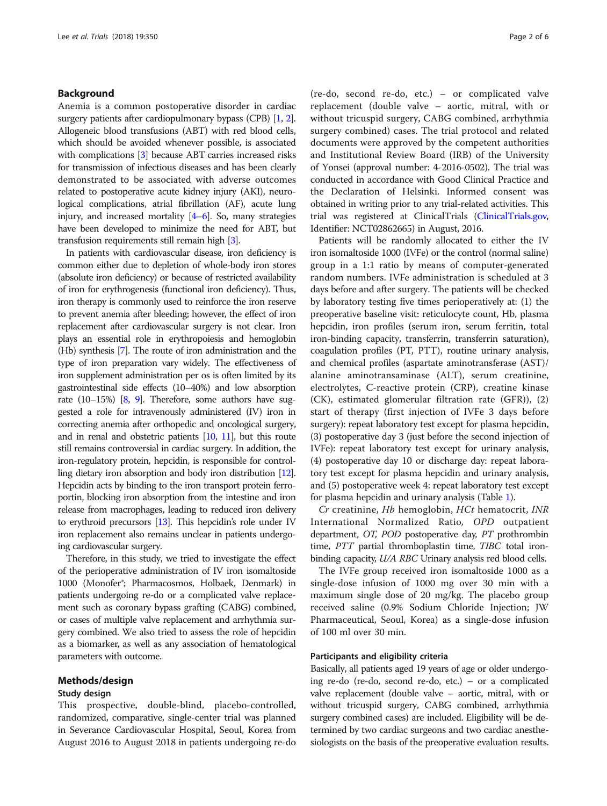## Background

Anemia is a common postoperative disorder in cardiac surgery patients after cardiopulmonary bypass (CPB) [\[1,](#page-5-0) [2](#page-5-0)]. Allogeneic blood transfusions (ABT) with red blood cells, which should be avoided whenever possible, is associated with complications [[3\]](#page-5-0) because ABT carries increased risks for transmission of infectious diseases and has been clearly demonstrated to be associated with adverse outcomes related to postoperative acute kidney injury (AKI), neurological complications, atrial fibrillation (AF), acute lung injury, and increased mortality [\[4](#page-5-0)–[6](#page-5-0)]. So, many strategies have been developed to minimize the need for ABT, but transfusion requirements still remain high [\[3\]](#page-5-0).

In patients with cardiovascular disease, iron deficiency is common either due to depletion of whole-body iron stores (absolute iron deficiency) or because of restricted availability of iron for erythrogenesis (functional iron deficiency). Thus, iron therapy is commonly used to reinforce the iron reserve to prevent anemia after bleeding; however, the effect of iron replacement after cardiovascular surgery is not clear. Iron plays an essential role in erythropoiesis and hemoglobin (Hb) synthesis [\[7\]](#page-5-0). The route of iron administration and the type of iron preparation vary widely. The effectiveness of iron supplement administration per os is often limited by its gastrointestinal side effects (10–40%) and low absorption rate (10–15%) [\[8,](#page-5-0) [9](#page-5-0)]. Therefore, some authors have suggested a role for intravenously administered (IV) iron in correcting anemia after orthopedic and oncological surgery, and in renal and obstetric patients [\[10](#page-5-0), [11](#page-5-0)], but this route still remains controversial in cardiac surgery. In addition, the iron-regulatory protein, hepcidin, is responsible for controlling dietary iron absorption and body iron distribution [\[12](#page-5-0)]. Hepcidin acts by binding to the iron transport protein ferroportin, blocking iron absorption from the intestine and iron release from macrophages, leading to reduced iron delivery to erythroid precursors [\[13](#page-5-0)]. This hepcidin's role under IV iron replacement also remains unclear in patients undergoing cardiovascular surgery.

Therefore, in this study, we tried to investigate the effect of the perioperative administration of IV iron isomaltoside 1000 (Monofer®; Pharmacosmos, Holbaek, Denmark) in patients undergoing re-do or a complicated valve replacement such as coronary bypass grafting (CABG) combined, or cases of multiple valve replacement and arrhythmia surgery combined. We also tried to assess the role of hepcidin as a biomarker, as well as any association of hematological parameters with outcome.

#### Methods/design

## Study design

This prospective, double-blind, placebo-controlled, randomized, comparative, single-center trial was planned in Severance Cardiovascular Hospital, Seoul, Korea from August 2016 to August 2018 in patients undergoing re-do

(re-do, second re-do, etc.) – or complicated valve replacement (double valve – aortic, mitral, with or without tricuspid surgery, CABG combined, arrhythmia surgery combined) cases. The trial protocol and related documents were approved by the competent authorities and Institutional Review Board (IRB) of the University of Yonsei (approval number: 4-2016-0502). The trial was conducted in accordance with Good Clinical Practice and the Declaration of Helsinki. Informed consent was obtained in writing prior to any trial-related activities. This trial was registered at ClinicalTrials [\(ClinicalTrials.gov,](http://clinicaltrials.gov) Identifier: NCT02862665) in August, 2016.

Patients will be randomly allocated to either the IV iron isomaltoside 1000 (IVFe) or the control (normal saline) group in a 1:1 ratio by means of computer-generated random numbers. IVFe administration is scheduled at 3 days before and after surgery. The patients will be checked by laboratory testing five times perioperatively at: (1) the preoperative baseline visit: reticulocyte count, Hb, plasma hepcidin, iron profiles (serum iron, serum ferritin, total iron-binding capacity, transferrin, transferrin saturation), coagulation profiles (PT, PTT), routine urinary analysis, and chemical profiles (aspartate aminotransferase (AST)/ alanine aminotransaminase (ALT), serum creatinine, electrolytes, C-reactive protein (CRP), creatine kinase (CK), estimated glomerular filtration rate (GFR)), (2) start of therapy (first injection of IVFe 3 days before surgery): repeat laboratory test except for plasma hepcidin, (3) postoperative day 3 (just before the second injection of IVFe): repeat laboratory test except for urinary analysis, (4) postoperative day 10 or discharge day: repeat laboratory test except for plasma hepcidin and urinary analysis, and (5) postoperative week 4: repeat laboratory test except for plasma hepcidin and urinary analysis (Table [1\)](#page-2-0).

Cr creatinine, Hb hemoglobin, HCt hematocrit, INR International Normalized Ratio, OPD outpatient department, OT, POD postoperative day, PT prothrombin time, PTT partial thromboplastin time, TIBC total ironbinding capacity, U/A RBC Urinary analysis red blood cells.

The IVFe group received iron isomaltoside 1000 as a single-dose infusion of 1000 mg over 30 min with a maximum single dose of 20 mg/kg. The placebo group received saline (0.9% Sodium Chloride Injection; JW Pharmaceutical, Seoul, Korea) as a single-dose infusion of 100 ml over 30 min.

## Participants and eligibility criteria

Basically, all patients aged 19 years of age or older undergoing re-do (re-do, second re-do, etc.) – or a complicated valve replacement (double valve – aortic, mitral, with or without tricuspid surgery, CABG combined, arrhythmia surgery combined cases) are included. Eligibility will be determined by two cardiac surgeons and two cardiac anesthesiologists on the basis of the preoperative evaluation results.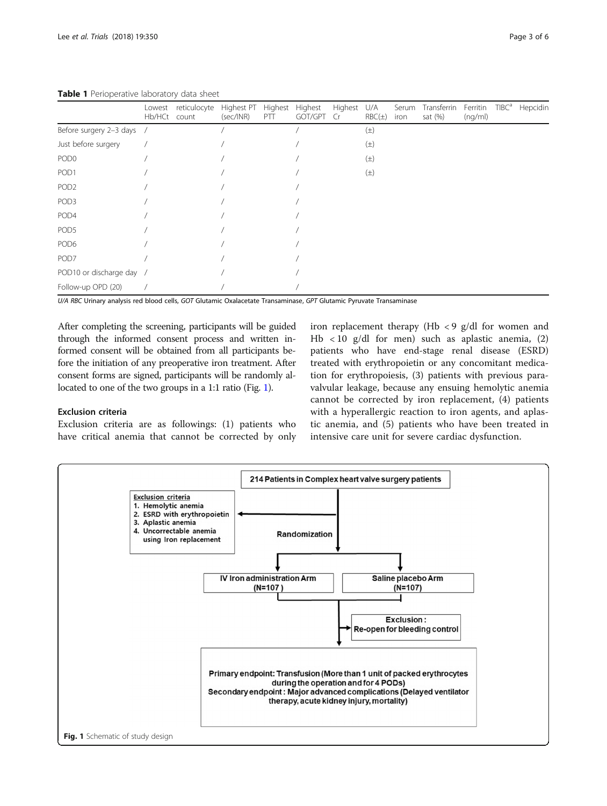|                           | Lowest<br>Hb/HCt count | reticulocyte | Highest PT<br>(sec/INR) | Highest<br>PTT | Highest<br>GOT/GPT | Highest<br>Cr | U/A<br>$RBC(\pm)$ | Serum<br>iron | Transferrin<br>sat $(\%)$ | Ferritin<br>(nq/ml) | TIBC <sup>a</sup> | Hepcidin |
|---------------------------|------------------------|--------------|-------------------------|----------------|--------------------|---------------|-------------------|---------------|---------------------------|---------------------|-------------------|----------|
| Before surgery 2-3 days / |                        |              |                         |                |                    |               | $(\pm)$           |               |                           |                     |                   |          |
| Just before surgery       |                        |              |                         |                |                    |               | $(\pm)$           |               |                           |                     |                   |          |
| POD <sub>0</sub>          |                        |              |                         |                |                    |               | $(\pm)$           |               |                           |                     |                   |          |
| POD <sub>1</sub>          |                        |              |                         |                |                    |               | $(\pm)$           |               |                           |                     |                   |          |
| POD <sub>2</sub>          |                        |              |                         |                |                    |               |                   |               |                           |                     |                   |          |
| POD <sub>3</sub>          |                        |              |                         |                |                    |               |                   |               |                           |                     |                   |          |
| POD4                      |                        |              |                         |                |                    |               |                   |               |                           |                     |                   |          |
| POD <sub>5</sub>          |                        |              |                         |                |                    |               |                   |               |                           |                     |                   |          |
| POD <sub>6</sub>          |                        |              |                         |                |                    |               |                   |               |                           |                     |                   |          |
| POD7                      |                        |              |                         |                |                    |               |                   |               |                           |                     |                   |          |
| POD10 or discharge day /  |                        |              |                         |                |                    |               |                   |               |                           |                     |                   |          |
| Follow-up OPD (20)        |                        |              |                         |                |                    |               |                   |               |                           |                     |                   |          |

<span id="page-2-0"></span>Table 1 Perioperative laboratory data sheet

U/A RBC Urinary analysis red blood cells, GOT Glutamic Oxalacetate Transaminase, GPT Glutamic Pyruvate Transaminase

After completing the screening, participants will be guided through the informed consent process and written informed consent will be obtained from all participants before the initiation of any preoperative iron treatment. After consent forms are signed, participants will be randomly allocated to one of the two groups in a 1:1 ratio (Fig. 1).

## Exclusion criteria

Exclusion criteria are as followings: (1) patients who have critical anemia that cannot be corrected by only iron replacement therapy (Hb  $\lt 9$  g/dl for women and Hb < 10 g/dl for men) such as aplastic anemia, (2) patients who have end-stage renal disease (ESRD) treated with erythropoietin or any concomitant medication for erythropoiesis, (3) patients with previous paravalvular leakage, because any ensuing hemolytic anemia cannot be corrected by iron replacement, (4) patients with a hyperallergic reaction to iron agents, and aplastic anemia, and (5) patients who have been treated in intensive care unit for severe cardiac dysfunction.

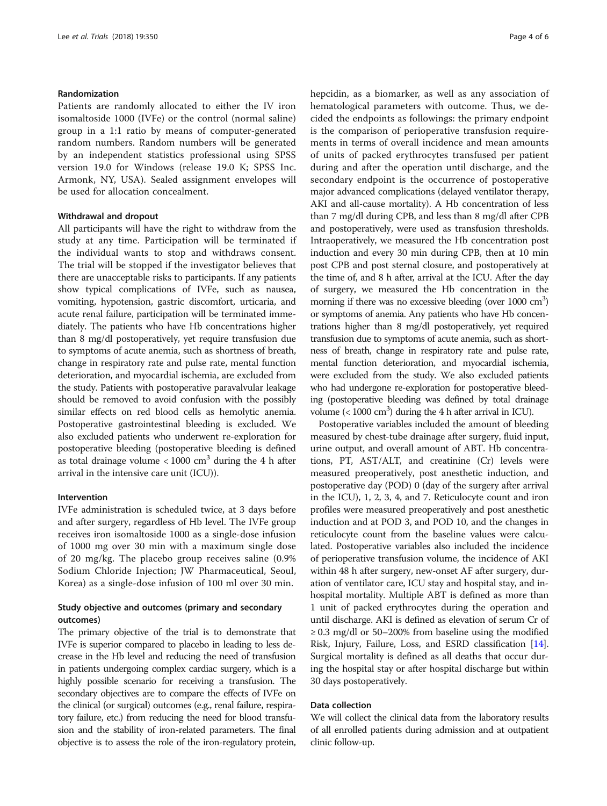## Randomization

Patients are randomly allocated to either the IV iron isomaltoside 1000 (IVFe) or the control (normal saline) group in a 1:1 ratio by means of computer-generated random numbers. Random numbers will be generated by an independent statistics professional using SPSS version 19.0 for Windows (release 19.0 K; SPSS Inc. Armonk, NY, USA). Sealed assignment envelopes will be used for allocation concealment.

## Withdrawal and dropout

All participants will have the right to withdraw from the study at any time. Participation will be terminated if the individual wants to stop and withdraws consent. The trial will be stopped if the investigator believes that there are unacceptable risks to participants. If any patients show typical complications of IVFe, such as nausea, vomiting, hypotension, gastric discomfort, urticaria, and acute renal failure, participation will be terminated immediately. The patients who have Hb concentrations higher than 8 mg/dl postoperatively, yet require transfusion due to symptoms of acute anemia, such as shortness of breath, change in respiratory rate and pulse rate, mental function deterioration, and myocardial ischemia, are excluded from the study. Patients with postoperative paravalvular leakage should be removed to avoid confusion with the possibly similar effects on red blood cells as hemolytic anemia. Postoperative gastrointestinal bleeding is excluded. We also excluded patients who underwent re-exploration for postoperative bleeding (postoperative bleeding is defined as total drainage volume  $< 1000 \text{ cm}^3$  during the 4 h after arrival in the intensive care unit (ICU)).

#### Intervention

IVFe administration is scheduled twice, at 3 days before and after surgery, regardless of Hb level. The IVFe group receives iron isomaltoside 1000 as a single-dose infusion of 1000 mg over 30 min with a maximum single dose of 20 mg/kg. The placebo group receives saline (0.9% Sodium Chloride Injection; JW Pharmaceutical, Seoul, Korea) as a single-dose infusion of 100 ml over 30 min.

## Study objective and outcomes (primary and secondary outcomes)

The primary objective of the trial is to demonstrate that IVFe is superior compared to placebo in leading to less decrease in the Hb level and reducing the need of transfusion in patients undergoing complex cardiac surgery, which is a highly possible scenario for receiving a transfusion. The secondary objectives are to compare the effects of IVFe on the clinical (or surgical) outcomes (e.g., renal failure, respiratory failure, etc.) from reducing the need for blood transfusion and the stability of iron-related parameters. The final objective is to assess the role of the iron-regulatory protein, hepcidin, as a biomarker, as well as any association of hematological parameters with outcome. Thus, we decided the endpoints as followings: the primary endpoint is the comparison of perioperative transfusion requirements in terms of overall incidence and mean amounts of units of packed erythrocytes transfused per patient during and after the operation until discharge, and the secondary endpoint is the occurrence of postoperative major advanced complications (delayed ventilator therapy, AKI and all-cause mortality). A Hb concentration of less than 7 mg/dl during CPB, and less than 8 mg/dl after CPB and postoperatively, were used as transfusion thresholds. Intraoperatively, we measured the Hb concentration post induction and every 30 min during CPB, then at 10 min post CPB and post sternal closure, and postoperatively at the time of, and 8 h after, arrival at the ICU. After the day of surgery, we measured the Hb concentration in the morning if there was no excessive bleeding (over 1000 cm<sup>3</sup>) or symptoms of anemia. Any patients who have Hb concentrations higher than 8 mg/dl postoperatively, yet required transfusion due to symptoms of acute anemia, such as shortness of breath, change in respiratory rate and pulse rate, mental function deterioration, and myocardial ischemia, were excluded from the study. We also excluded patients who had undergone re-exploration for postoperative bleeding (postoperative bleeding was defined by total drainage volume  $(< 1000 \text{ cm}^3)$  during the 4 h after arrival in ICU).

Postoperative variables included the amount of bleeding measured by chest-tube drainage after surgery, fluid input, urine output, and overall amount of ABT. Hb concentrations, PT, AST/ALT, and creatinine (Cr) levels were measured preoperatively, post anesthetic induction, and postoperative day (POD) 0 (day of the surgery after arrival in the ICU), 1, 2, 3, 4, and 7. Reticulocyte count and iron profiles were measured preoperatively and post anesthetic induction and at POD 3, and POD 10, and the changes in reticulocyte count from the baseline values were calculated. Postoperative variables also included the incidence of perioperative transfusion volume, the incidence of AKI within 48 h after surgery, new-onset AF after surgery, duration of ventilator care, ICU stay and hospital stay, and inhospital mortality. Multiple ABT is defined as more than 1 unit of packed erythrocytes during the operation and until discharge. AKI is defined as elevation of serum Cr of  $\geq$  0.3 mg/dl or 50–200% from baseline using the modified Risk, Injury, Failure, Loss, and ESRD classification [[14](#page-5-0)]. Surgical mortality is defined as all deaths that occur during the hospital stay or after hospital discharge but within 30 days postoperatively.

## Data collection

We will collect the clinical data from the laboratory results of all enrolled patients during admission and at outpatient clinic follow-up.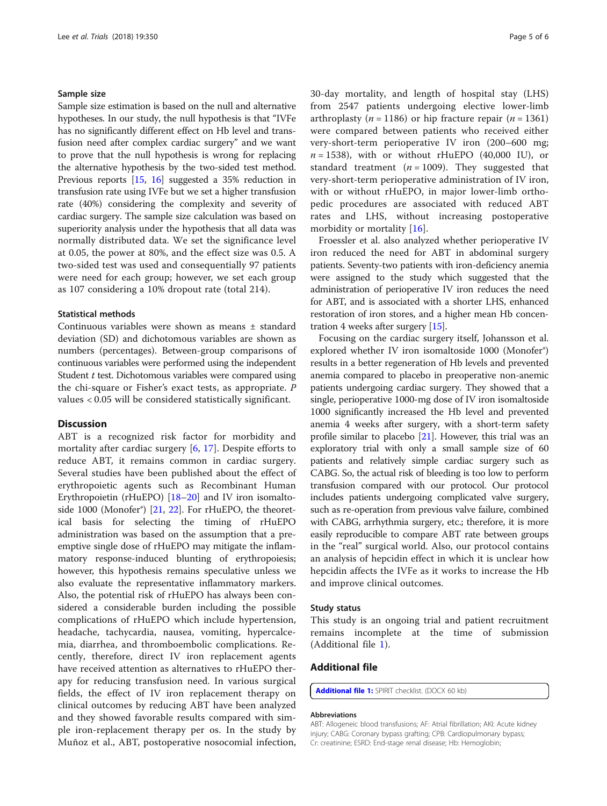#### Sample size

Sample size estimation is based on the null and alternative hypotheses. In our study, the null hypothesis is that "IVFe has no significantly different effect on Hb level and transfusion need after complex cardiac surgery" and we want to prove that the null hypothesis is wrong for replacing the alternative hypothesis by the two-sided test method. Previous reports [\[15,](#page-5-0) [16](#page-5-0)] suggested a 35% reduction in transfusion rate using IVFe but we set a higher transfusion rate (40%) considering the complexity and severity of cardiac surgery. The sample size calculation was based on superiority analysis under the hypothesis that all data was normally distributed data. We set the significance level at 0.05, the power at 80%, and the effect size was 0.5. A two-sided test was used and consequentially 97 patients were need for each group; however, we set each group as 107 considering a 10% dropout rate (total 214).

#### Statistical methods

Continuous variables were shown as means ± standard deviation (SD) and dichotomous variables are shown as numbers (percentages). Between-group comparisons of continuous variables were performed using the independent Student t test. Dichotomous variables were compared using the chi-square or Fisher's exact tests, as appropriate. P values < 0.05 will be considered statistically significant.

#### **Discussion**

ABT is a recognized risk factor for morbidity and mortality after cardiac surgery [\[6](#page-5-0), [17\]](#page-5-0). Despite efforts to reduce ABT, it remains common in cardiac surgery. Several studies have been published about the effect of erythropoietic agents such as Recombinant Human Erythropoietin (rHuEPO) [[18](#page-5-0)–[20](#page-5-0)] and IV iron isomalto-side 1000 (Monofer<sup>®</sup>) [\[21,](#page-5-0) [22](#page-5-0)]. For rHuEPO, the theoretical basis for selecting the timing of rHuEPO administration was based on the assumption that a preemptive single dose of rHuEPO may mitigate the inflammatory response-induced blunting of erythropoiesis; however, this hypothesis remains speculative unless we also evaluate the representative inflammatory markers. Also, the potential risk of rHuEPO has always been considered a considerable burden including the possible complications of rHuEPO which include hypertension, headache, tachycardia, nausea, vomiting, hypercalcemia, diarrhea, and thromboembolic complications. Recently, therefore, direct IV iron replacement agents have received attention as alternatives to rHuEPO therapy for reducing transfusion need. In various surgical fields, the effect of IV iron replacement therapy on clinical outcomes by reducing ABT have been analyzed and they showed favorable results compared with simple iron-replacement therapy per os. In the study by Muñoz et al., ABT, postoperative nosocomial infection, 30-day mortality, and length of hospital stay (LHS) from 2547 patients undergoing elective lower-limb arthroplasty (*n* = 1186) or hip fracture repair (*n* = 1361) were compared between patients who received either very-short-term perioperative IV iron (200–600 mg;  $n = 1538$ ), with or without rHuEPO (40,000 IU), or standard treatment ( $n = 1009$ ). They suggested that very-short-term perioperative administration of IV iron, with or without rHuEPO, in major lower-limb orthopedic procedures are associated with reduced ABT rates and LHS, without increasing postoperative morbidity or mortality [[16\]](#page-5-0).

Froessler et al. also analyzed whether perioperative IV iron reduced the need for ABT in abdominal surgery patients. Seventy-two patients with iron-deficiency anemia were assigned to the study which suggested that the administration of perioperative IV iron reduces the need for ABT, and is associated with a shorter LHS, enhanced restoration of iron stores, and a higher mean Hb concentration 4 weeks after surgery [\[15\]](#page-5-0).

Focusing on the cardiac surgery itself, Johansson et al. explored whether IV iron isomaltoside 1000 (Monofer®) results in a better regeneration of Hb levels and prevented anemia compared to placebo in preoperative non-anemic patients undergoing cardiac surgery. They showed that a single, perioperative 1000-mg dose of IV iron isomaltoside 1000 significantly increased the Hb level and prevented anemia 4 weeks after surgery, with a short-term safety profile similar to placebo [[21](#page-5-0)]. However, this trial was an exploratory trial with only a small sample size of 60 patients and relatively simple cardiac surgery such as CABG. So, the actual risk of bleeding is too low to perform transfusion compared with our protocol. Our protocol includes patients undergoing complicated valve surgery, such as re-operation from previous valve failure, combined with CABG, arrhythmia surgery, etc.; therefore, it is more easily reproducible to compare ABT rate between groups in the "real" surgical world. Also, our protocol contains an analysis of hepcidin effect in which it is unclear how hepcidin affects the IVFe as it works to increase the Hb and improve clinical outcomes.

#### Study status

This study is an ongoing trial and patient recruitment remains incomplete at the time of submission (Additional file 1).

## Additional file

[Additional file 1:](https://doi.org/10.1186/s13063-018-2545-3) SPIRIT checklist. (DOCX 60 kb)

#### Abbreviations

ABT: Allogeneic blood transfusions; AF: Atrial fibrillation; AKI: Acute kidney injury; CABG: Coronary bypass grafting; CPB: Cardiopulmonary bypass; Cr: creatinine; ESRD: End-stage renal disease; Hb: Hemoglobin;